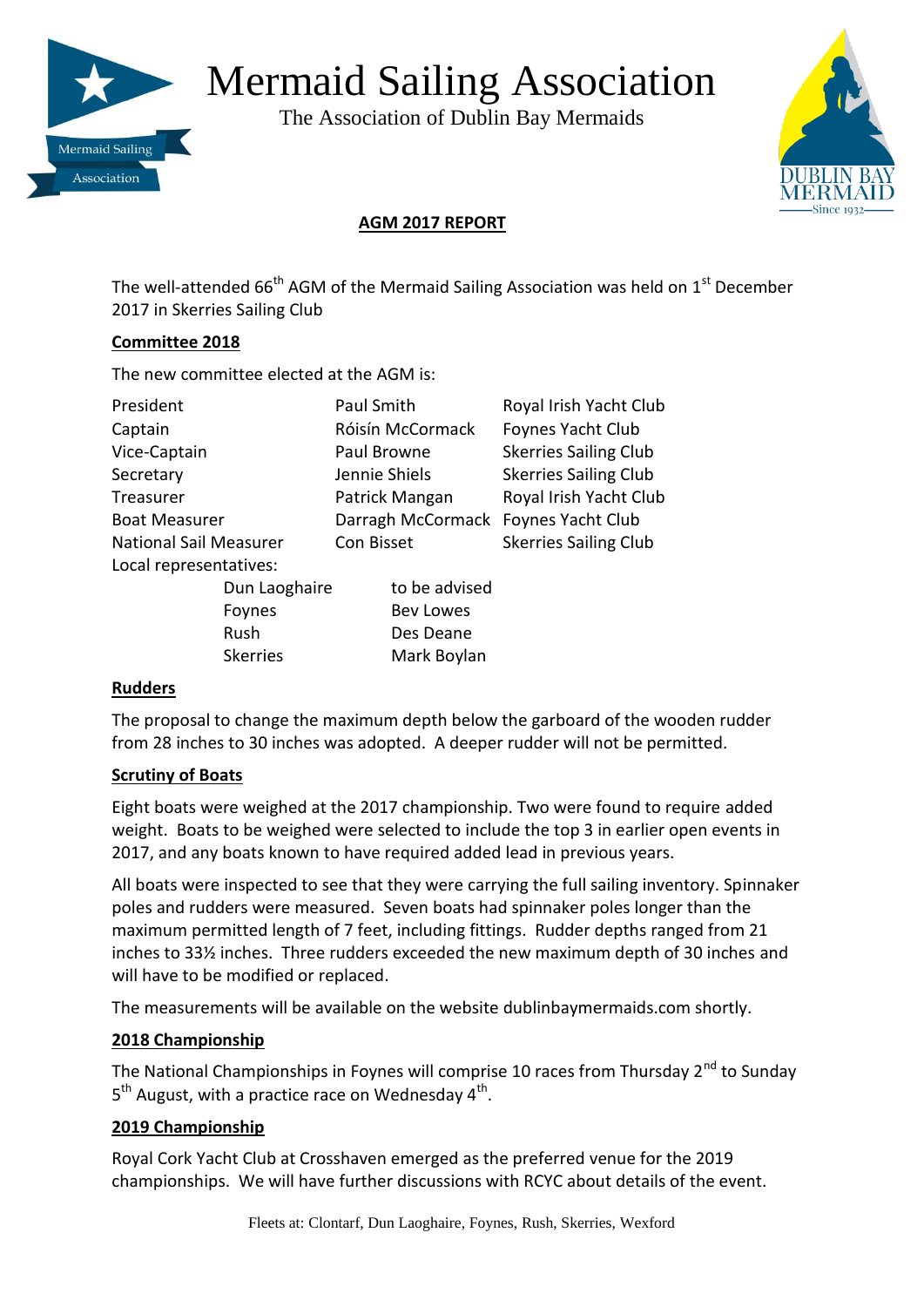

# Mermaid Sailing Association

The Association of Dublin Bay Mermaids



# **AGM 2017 REPORT**

The well-attended  $66<sup>th</sup>$  AGM of the Mermaid Sailing Association was held on  $1<sup>st</sup>$  December 2017 in Skerries Sailing Club

### **Committee 2018**

The new committee elected at the AGM is:

| President                     |                 | Paul Smith                          |                  | Royal Irish Yacht Club       |
|-------------------------------|-----------------|-------------------------------------|------------------|------------------------------|
| Captain                       |                 |                                     | Róisín McCormack | Foynes Yacht Club            |
| Vice-Captain                  |                 | Paul Browne                         |                  | <b>Skerries Sailing Club</b> |
| Secretary                     |                 | Jennie Shiels                       |                  | <b>Skerries Sailing Club</b> |
| Treasurer                     |                 | Patrick Mangan                      |                  | Royal Irish Yacht Club       |
| <b>Boat Measurer</b>          |                 | Darragh McCormack Foynes Yacht Club |                  |                              |
| <b>National Sail Measurer</b> |                 | Con Bisset                          |                  | <b>Skerries Sailing Club</b> |
| Local representatives:        |                 |                                     |                  |                              |
|                               | Dun Laoghaire   |                                     | to be advised    |                              |
|                               | Foynes          |                                     | <b>Bev Lowes</b> |                              |
|                               | Rush            |                                     | Des Deane        |                              |
|                               | <b>Skerries</b> |                                     | Mark Boylan      |                              |

#### **Rudders**

The proposal to change the maximum depth below the garboard of the wooden rudder from 28 inches to 30 inches was adopted. A deeper rudder will not be permitted.

### **Scrutiny of Boats**

Eight boats were weighed at the 2017 championship. Two were found to require added weight. Boats to be weighed were selected to include the top 3 in earlier open events in 2017, and any boats known to have required added lead in previous years.

All boats were inspected to see that they were carrying the full sailing inventory. Spinnaker poles and rudders were measured. Seven boats had spinnaker poles longer than the maximum permitted length of 7 feet, including fittings. Rudder depths ranged from 21 inches to 33½ inches. Three rudders exceeded the new maximum depth of 30 inches and will have to be modified or replaced.

The measurements will be available on the website dublinbaymermaids.com shortly.

### **2018 Championship**

The National Championships in Foynes will comprise 10 races from Thursday 2<sup>nd</sup> to Sunday 5<sup>th</sup> August, with a practice race on Wednesday 4<sup>th</sup>.

### **2019 Championship**

Royal Cork Yacht Club at Crosshaven emerged as the preferred venue for the 2019 championships. We will have further discussions with RCYC about details of the event.